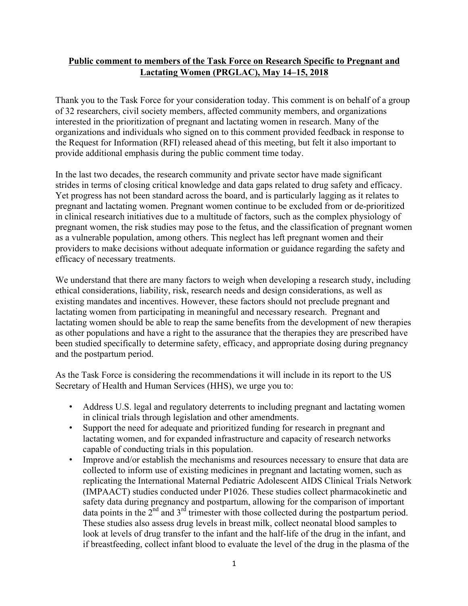## **Public comment to members of the Task Force on Research Specific to Pregnant and Lactating Women (PRGLAC), May 14–15, 2018**

 of 32 researchers, civil society members, affected community members, and organizations the Request for Information (RFI) released ahead of this meeting, but felt it also important to Thank you to the Task Force for your consideration today. This comment is on behalf of a group interested in the prioritization of pregnant and lactating women in research. Many of the organizations and individuals who signed on to this comment provided feedback in response to provide additional emphasis during the public comment time today.

 Yet progress has not been standard across the board, and is particularly lagging as it relates to pregnant and lactating women. Pregnant women continue to be excluded from or de-prioritized efficacy of necessary treatments. In the last two decades, the research community and private sector have made significant strides in terms of closing critical knowledge and data gaps related to drug safety and efficacy. in clinical research initiatives due to a multitude of factors, such as the complex physiology of pregnant women, the risk studies may pose to the fetus, and the classification of pregnant women as a vulnerable population, among others. This neglect has left pregnant women and their providers to make decisions without adequate information or guidance regarding the safety and

 existing mandates and incentives. However, these factors should not preclude pregnant and lactating women should be able to reap the same benefits from the development of new therapies as other populations and have a right to the assurance that the therapies they are prescribed have been studied specifically to determine safety, efficacy, and appropriate dosing during pregnancy We understand that there are many factors to weigh when developing a research study, including ethical considerations, liability, risk, research needs and design considerations, as well as lactating women from participating in meaningful and necessary research. Pregnant and and the postpartum period.

 Secretary of Health and Human Services (HHS), we urge you to: As the Task Force is considering the recommendations it will include in its report to the US

- Address U.S. legal and regulatory deterrents to including pregnant and lactating women in clinical trials through legislation and other amendments.
- lactating women, and for expanded infrastructure and capacity of research networks • Support the need for adequate and prioritized funding for research in pregnant and capable of conducting trials in this population.
- collected to inform use of existing medicines in pregnant and lactating women, such as replicating the International Maternal Pediatric Adolescent AIDS Clinical Trials Network (IMPAACT) studies conducted under P1026. These studies collect pharmacokinetic and data points in the  $2<sup>nd</sup>$  and  $3<sup>rd</sup>$  trimester with those collected during the postpartum period. These studies also assess drug levels in breast milk, collect neonatal blood samples to • Improve and/or establish the mechanisms and resources necessary to ensure that data are safety data during pregnancy and postpartum, allowing for the comparison of important look at levels of drug transfer to the infant and the half-life of the drug in the infant, and if breastfeeding, collect infant blood to evaluate the level of the drug in the plasma of the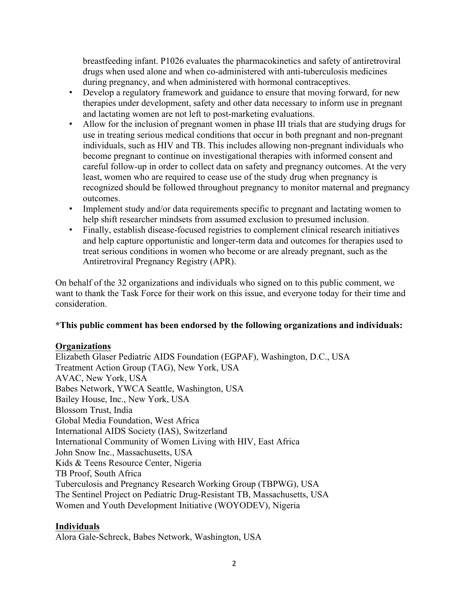during pregnancy, and when administered with hormonal contraceptives. breastfeeding infant. P1026 evaluates the pharmacokinetics and safety of antiretroviral drugs when used alone and when co-administered with anti-tuberculosis medicines

- Develop a regulatory framework and guidance to ensure that moving forward, for new therapies under development, safety and other data necessary to inform use in pregnant and lactating women are not left to post-marketing evaluations.
- individuals, such as HIV and TB. This includes allowing non-pregnant individuals who • Allow for the inclusion of pregnant women in phase III trials that are studying drugs for use in treating serious medical conditions that occur in both pregnant and non-pregnant become pregnant to continue on investigational therapies with informed consent and careful follow-up in order to collect data on safety and pregnancy outcomes. At the very least, women who are required to cease use of the study drug when pregnancy is recognized should be followed throughout pregnancy to monitor maternal and pregnancy outcomes.
- help shift researcher mindsets from assumed exclusion to presumed inclusion. • Implement study and/or data requirements specific to pregnant and lactating women to
- treat serious conditions in women who become or are already pregnant, such as the Antiretroviral Pregnancy Registry (APR). • Finally, establish disease-focused registries to complement clinical research initiatives and help capture opportunistic and longer-term data and outcomes for therapies used to

Antiretroviral Pregnancy Registry (APR).<br>On behalf of the 32 organizations and individuals who signed on to this public comment, we want to thank the Task Force for their work on this issue, and everyone today for their time and consideration.

## **\*This public comment has been endorsed by the following organizations and individuals:**

## **Organizations**

 International Community of Women Living with HIV, East Africa Elizabeth Glaser Pediatric AIDS Foundation (EGPAF), Washington, D.C., USA Treatment Action Group (TAG), New York, USA AVAC, New York, USA Babes Network, YWCA Seattle, Washington, USA Bailey House, Inc., New York, USA Blossom Trust, India Global Media Foundation, West Africa International AIDS Society (IAS), Switzerland John Snow Inc., Massachusetts, USA Kids & Teens Resource Center, Nigeria TB Proof, South Africa Tuberculosis and Pregnancy Research Working Group (TBPWG), USA The Sentinel Project on Pediatric Drug-Resistant TB, Massachusetts, USA Women and Youth Development Initiative (WOYODEV), Nigeria

## **Individuals**

Alora Gale-Schreck, Babes Network, Washington, USA